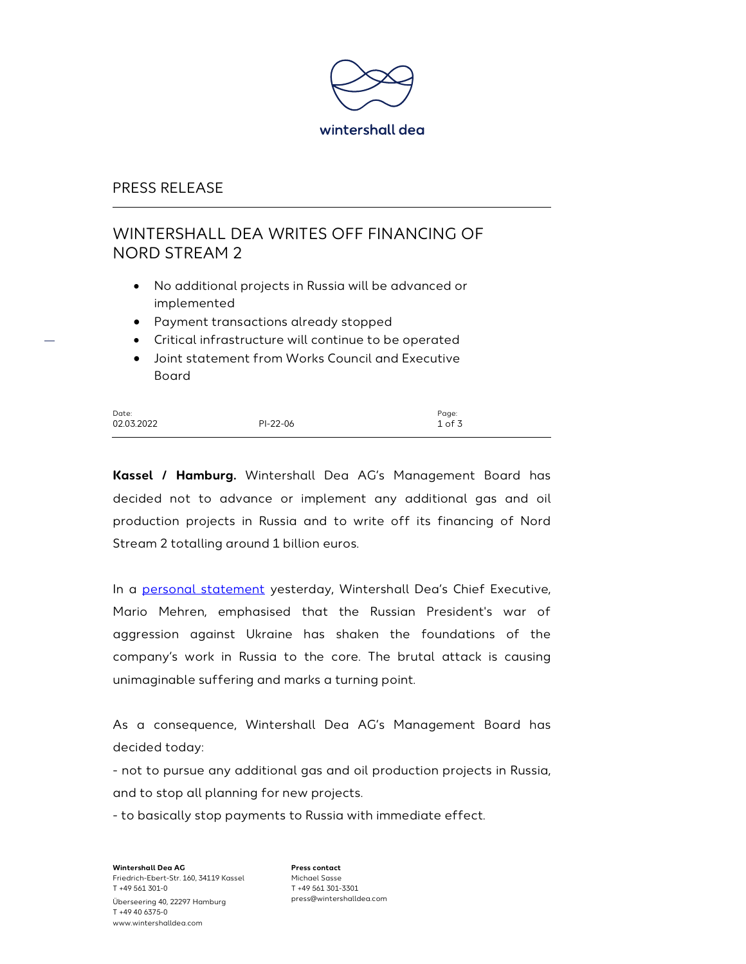

## PRESS RELEASE

# WINTERSHALL DEA WRITES OFF FINANCING OF NORD STREAM 2

- No additional projects in Russia will be advanced or implemented
- Payment transactions already stopped
- Critical infrastructure will continue to be operated
- Joint statement from Works Council and Executive Board

| Date:      |          | Page:  |
|------------|----------|--------|
| 02.03.2022 | PI-22-06 | 1 of 3 |

Kassel / Hamburg. Wintershall Dea AG's Management Board has decided not to advance or implement any additional gas and oil production projects in Russia and to write off its financing of Nord Stream 2 totalling around 1 billion euros.

In a personal statement yesterday, Wintershall Dea's Chief Executive, Mario Mehren, emphasised that the Russian President's war of aggression against Ukraine has shaken the foundations of the company's work in Russia to the core. The brutal attack is causing unimaginable suffering and marks a turning point.

As a consequence, Wintershall Dea AG's Management Board has decided today:

- not to pursue any additional gas and oil production projects in Russia, and to stop all planning for new projects.

- to basically stop payments to Russia with immediate effect.

Wintershall Dea AG Friedrich-Ebert-Str. 160, 34119 Kassel T +49 561 301-0 Überseering 40, 22297 Hamburg T +49 40 6375-0 www.wintershalldea.com

Press contact Michael Sasse T +49 561 301-3301 press@wintershalldea.com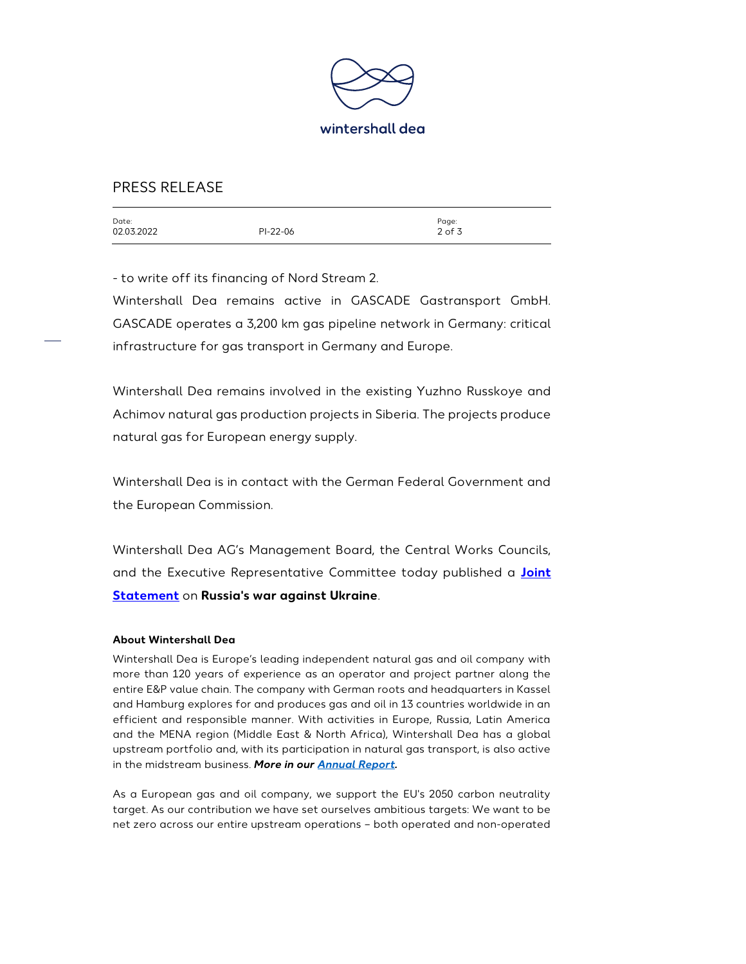

## PRESS RELEASE

| Date:<br>02.03.2022 | PI-22-06 | Page:<br>$2$ of 3 |
|---------------------|----------|-------------------|
|                     |          |                   |

- to write off its financing of Nord Stream 2.

Wintershall Dea remains active in GASCADE Gastransport GmbH. GASCADE operates a 3,200 km gas pipeline network in Germany: critical infrastructure for gas transport in Germany and Europe.

Wintershall Dea remains involved in the existing Yuzhno Russkoye and Achimov natural gas production projects in Siberia. The projects produce natural gas for European energy supply.

Wintershall Dea is in contact with the German Federal Government and the European Commission.

Wintershall Dea AG's Management Board, the Central Works Councils, and the Executive Representative Committee today published a **Joint** Statement on Russia's war against Ukraine.

#### About Wintershall Dea

Wintershall Dea is Europe's leading independent natural gas and oil company with more than 120 years of experience as an operator and project partner along the entire E&P value chain. The company with German roots and headquarters in Kassel and Hamburg explores for and produces gas and oil in 13 countries worldwide in an efficient and responsible manner. With activities in Europe, Russia, Latin America and the MENA region (Middle East & North Africa), Wintershall Dea has a global upstream portfolio and, with its participation in natural gas transport, is also active in the midstream business. More in our Annual Report.

As a European gas and oil company, we support the EU's 2050 carbon neutrality target. As our contribution we have set ourselves ambitious targets: We want to be net zero across our entire upstream operations – both operated and non-operated